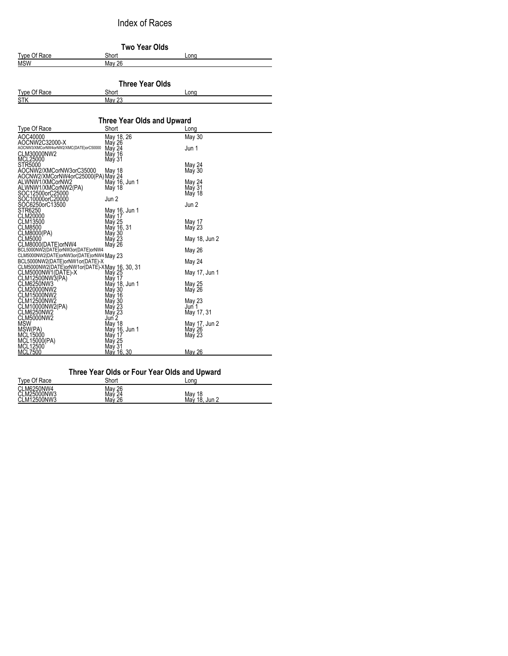Index of Races

| Two Year Olds                                                               |                                   |        |  |
|-----------------------------------------------------------------------------|-----------------------------------|--------|--|
| Type Of Race                                                                | Short                             | Lona   |  |
| <b>MSW</b>                                                                  | <b>May 26</b>                     |        |  |
|                                                                             | <b>Three Year Olds</b>            |        |  |
| Type Of Race                                                                | Short                             | Lona   |  |
| <b>STK</b>                                                                  | May 23                            |        |  |
|                                                                             | <b>Three Year Olds and Upward</b> |        |  |
| Type Of Race                                                                | Short                             | Lona   |  |
| AOC40000                                                                    | May 18, 26                        | May 30 |  |
| AOCNW2C32000-X<br>AOCNW3/XMCorNW4orNW2/XMC(DATE)orC50000<br>CLAILADOOCAL IO | May 26<br>May 24<br>May 16        | Jun 1  |  |

| CLM3000QNW2<br>MCL25000                                                      | $i$ viu y $2 - i$<br>May 16<br>May 31 | <b>UWII</b> I    |
|------------------------------------------------------------------------------|---------------------------------------|------------------|
| STR5000<br>AOCNW2/XMCorNW3orC35000                                           | May 18                                | May 24<br>May 30 |
| AOCNW2/XMCorNW4orC25000(PA) May 24<br>ALWNW1/XMCorNW2                        |                                       |                  |
| ALWNW1/XMCorNW2(PA)<br>SOC12500orC25000                                      | May 16, Jun 1<br>May 18               | May 24<br>May 31 |
| SOC10000orC20000                                                             | Jun 2                                 | May 18           |
| SOC6250orC13500<br>STR6250                                                   | May 16, Jun 1                         | Jun 2            |
| CLM20000<br>CLM13500                                                         | May 17<br>May 25                      | May 17           |
| CLM8500                                                                      | May 16, 31                            | May 23           |
| CLM8000(PA)<br>CLM5000                                                       | May 30<br>May 23                      | May 18, Jun 2    |
| CLM8000(DATE)orNW4<br>BCL5000NW2(DATE)orNW3or(DATE)orNW4                     | May 26                                | May 26           |
| CLM5000NW2(DATE)orNW3or(DATE)orNW4 May 23<br>BCL5000NW2(DATE)orNW1or(DATE)-X |                                       | May 24           |
| CLM5000NW2(DATE)orNW1or(DATE)-XMay 16, 30, 31<br>CLM5000NW1(DATE)-X          | May 25                                | May 17, Jun 1    |
| CLM12500NW3(PA)<br>CLM6250NW3                                                | May 17<br>May 18, Jun 1               | May 25           |
| CLM20000NW2<br>CLM15000NW2                                                   | May 30<br>May 16                      | May 26           |
| CLM12500NW2                                                                  | May 30<br>May 23                      | May 23<br>Jun 1  |
| ČĹM10000NW2(PA)<br>CLM6250NW2<br>CLM5000NW2                                  | May 23<br>Jun 2                       | May 17, 31       |
| MSW                                                                          | May 18                                | May 17, Jun 2    |
| MSW(PA)<br>MCL15000                                                          | May 16, Jun 1<br>May 17               | May 26<br>May 23 |
| MCL15000(PA)<br>MCL12500                                                     | May 25<br>May 31                      |                  |
| MCL7500                                                                      | <u>May 16, 30</u>                     | May 26           |

## **Three Year Olds or Four Year Olds and Upward**

| Type Of Race                             | Short                       | Long                            |
|------------------------------------------|-----------------------------|---------------------------------|
| CLM6250NW4<br>CLM25000NW3<br>CLM12500NW3 | May 26<br>May 24<br>Mav́ 26 | May<br>May<br>18<br>19<br>Jun 2 |